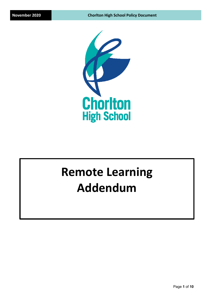

# **Remote Learning Addendum**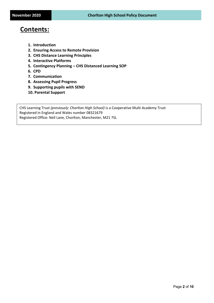## **Contents:**

- **1. Introduction**
- **2. Ensuring Access to Remote Provision**
- **3. CHS Distance Learning Principles**
- **4. Interactive Platforms**
- **5. Contingency Planning – CHS Distanced Learning SOP**
- **6. CPD**
- **7. Communication**
- **8. Assessing Pupil Progress**
- **9. Supporting pupils with SEND**
- **10. Parental Support**

CHS Learning Trust *(previously: Chorlton High School)* is a Cooperative Multi Academy Trust Registered in England and Wales number 08321679 Registered Office: Nell Lane, Chorlton, Manchester, M21 7SL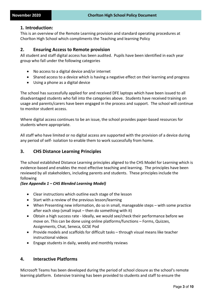#### **1. Introduction:**

This is an overview of the Remote Learning provision and standard operating procedures at Chorlton High School which compliments the Teaching and learning Policy

#### **2. Ensuring Access to Remote provision**

All student and staff digital access has been audited. Pupils have been identified in each year group who fall under the following categories

- No access to a digital device and/or internet
- Shared access to a device which is having a negative effect on their learning and progress
- Using a phone as a digital device

The school has successfully applied for and received DFE laptops which have been issued to all disadvantaged students who fall into the categories above. Students have received training on usage and parents/carers have been engaged in the process and support. The school will continue to monitor student access.

Where digital access continues to be an issue, the school provides paper-based resources for students where appropriate.

All staff who have limited or no digital access are supported with the provision of a device during any period of self- isolation to enable them to work successfully from home.

### **3. CHS Distance Learning Principles**

The school established Distance Learning principles aligned to the CHS Model for Learning which is evidence-based and enables the most effective teaching and learning. The principles have been reviewed by all stakeholders, including parents and students. These principles include the following

#### *(See Appendix 1 – CHS Blended Learning Model)*

- Clear instructions which outline each stage of the lesson
- Start with a review of the previous lesson/learning
- When Presenting new information, do so in small, manageable steps with some practice after each step (small input – then do something with it)
- Obtain a high success rate Ideally, we would see/check their performance before we move on. This can be done using online platforms/functions – Forms, Quizzes, Assignments, Chat, Seneca, GCSE Pod
- Provide models and scaffolds for difficult tasks through visual means like teacher instructional videos
- Engage students in daily, weekly and monthly reviews

### **4. Interactive Platforms**

Microsoft Teams has been developed during the period of school closure as the school's remote learning platform. Extensive training has been provided to students and staff to ensure the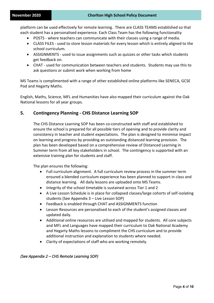platform can be used effectively for remote learning. There are CLASS TEAMS established so that each student has a personalised experience. Each Class Team has the following functionality

- POSTS where teachers can communicate with their classes using a range of media.
- CLASS FILES used to store lesson materials for every lesson which is entirely aligned to the school curriculum.
- ASSIGNMENTS used to issue assignments such as quizzes or other tasks which students get feedback on.
- CHAT used for communication between teachers and students. Students may use this to ask questions or submit work when working from home

MS Teams is complimented with a range of other established online platforms like SENECA, GCSE Pod and Hegarty Maths.

English, Maths, Science, MFL and Humanities have also mapped their curriculum against the Oak National lessons for all year groups.

#### **5. Contingency Planning - CHS Distance Learning SOP**

The CHS Distance Learning SOP has been co-constructed with staff and established to ensure the school is prepared for all possible tiers of opening and to provide clarity and consistency in teacher and student expectations. The plan is designed to minimise impact on learning and progress by providing an outstanding distanced learning provision. The plan has been developed based on a comprehensive review of Distanced Learning in Summer term from all key stakeholders in school. The contingency is supported with an extensive training plan for students and staff.

The plan ensures the following:

- Full curriculum alignment. A full curriculum review process in the summer term ensured a blended curriculum experience has been planned to support in class and distance learning. All daily lessons are uploaded onto MS Teams.
- Integrity of the school timetable is sustained across Tier 1 and 2
- A Live Lesson Schedule is in place for collapsed classes/large cohorts of self-isolating students (See Appendix 3 – Live Lesson SOP)
- Feedback is enabled through CHAT and ASSIGNMENTS function
- Lesson Resources are personalised to each of the student's assigned classes and updated daily.
- Additional online resources are utilised and mapped for students. All core subjects and MFL and Languages have mapped their curriculum to Oak National Academy and Hegarty Maths lessons to compliment the CHS curriculum and to provide additional instruction and explanation to students where needed.
- Clarity of expectations of staff who are working remotely.

#### *(See Appendix 2 – CHS Remote Learning SOP)*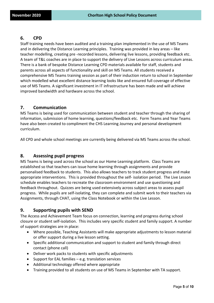## **6. CPD**

Staff training needs have been audited and a training plan implemented in the use of MS Teams and in delivering the Distance Learning principles. Training was provided in key areas – like teacher modelling, creating pre -recorded lessons, delivering live lessons, providing feedback etc. A team of T&L coaches are in place to support the delivery of Live Lessons across curriculum areas. There is a bank of bespoke Distance Learning CPD materials available for staff, students and parents across all aspects of functionality and skill on MS Teams. All students received a comprehensive MS Teams training session as part of their induction return to school in September which modelled what excellent distance learning looks like and ensured full coverage of effective use of MS Teams. A significant investment in IT infrastructure has been made and will achieve improved bandwidth and hardware across the school.

### **7. Communication**

MS Teams is being used for communication between student and teacher through the sharing of information, submission of home learning, questions/feedback etc. Form Teams and Year Teams have also been created to compliment the CHS Learning Journey and personal development curriculum.

All CPD and whole school meetings are currently being delivered via MS Teams across the school.

### **8. Assessing pupil progress**

MS Teams is being used across the school as our Home Learning platform. Class Teams are established so that teachers can issue home learning through assignments and provide personalised feedback to students. This also allows teachers to track student progress and make appropriate interventions. This is provided throughout the self- isolation period. The Live Lesson schedule enables teachers to recreate the classroom environment and use questioning and feedback throughout. Quizzes are being used extensively across subject areas to assess pupil progress. While pupils are self-isolating, they can complete and submit work to their teachers via Assignments, through CHAT, using the Class Notebook or within the Live Lesson.

## **9. Supporting pupils with SEND**

The Access and Achievement Team focus on connection, learning and progress during school closure or student self-isolation. This includes very specific student and family support. A number of support strategies are in place:

- Where possible, Teaching Assistants will make appropriate adjustments to lesson material or offer support during a live lesson setting.
- Specific additional communication and support to student and family through direct contact (phone call)
- Deliver work packs to students with specific adjustments
- Support for EAL families e.g. translation services
- Additional technology offered where appropriate
- Training provided to all students on use of MS Teams in September with TA support.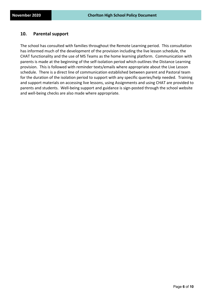## **10. Parental support**

The school has consulted with families throughout the Remote Learning period. This consultation has informed much of the development of the provision including the live lesson schedule, the CHAT functionality and the use of MS Teams as the home learning platform. Communication with parents is made at the beginning of the self-isolation period which outlines the Distance Learning provision. This is followed with reminder texts/emails where appropriate about the Live Lesson schedule. There is a direct line of communication established between parent and Pastoral team for the duration of the isolation period to support with any specific queries/help needed. Training and support materials on accessing live lessons, using Assignments and using CHAT are provided to parents and students. Well-being support and guidance is sign-posted through the school website and well-being checks are also made where appropriate.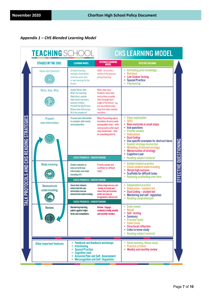## *Appendix 1 – CHS Blended Learning Model*

| <b>STAGES IN THE CHS:</b>                                                                                                                                                                                                                                               | <b>LEARNING MODEL</b>                                                                                                                                                                              | <b>DISTANCE LEARNING</b><br>MODEL                                                                                                                                                             | <b>EFFCTIVE TEACHING</b>                                                                                                                                                                                                                                                                                                                              |
|-------------------------------------------------------------------------------------------------------------------------------------------------------------------------------------------------------------------------------------------------------------------------|----------------------------------------------------------------------------------------------------------------------------------------------------------------------------------------------------|-----------------------------------------------------------------------------------------------------------------------------------------------------------------------------------------------|-------------------------------------------------------------------------------------------------------------------------------------------------------------------------------------------------------------------------------------------------------------------------------------------------------------------------------------------------------|
| <b>Hook and Connect:</b>                                                                                                                                                                                                                                                | <b>Activate learning</b><br>through a hook which<br>activates prior and/<br>or new learning for the<br>lesson.                                                                                     | HOOK - Startwith a<br>review of the previous<br>lesson/learning.                                                                                                                              | <b>Activating prior knowledge</b><br>Retrieval<br>۰<br><b>Low Stakes Testing</b><br><b>Spaced Practice</b><br>٠<br>Interleaving                                                                                                                                                                                                                       |
| What, How, Why:                                                                                                                                                                                                                                                         | Explain What, How,<br><b>Why? Set Learning</b><br>Objectives, explain<br>their intent and share<br>success criteria.<br>Present the Big Picture.<br>Where does this lesson<br>fit in the sequence? | What, How, why-<br>Students need clear<br>instructions to guide<br>them through each<br>stage of the lesson - e.g.<br>pre recorded lessons,<br>clear first slide, teacher<br><b>narration</b> |                                                                                                                                                                                                                                                                                                                                                       |
| <b>Present</b><br>new information:                                                                                                                                                                                                                                      | <b>Present new information</b><br>to students with clarity<br>and explanation.                                                                                                                     | When Presenting new in-<br>formation, do so in small,<br>manageable steps - with<br>some practice after each<br>step (small input – then<br>do something with it).                            | <b>Clear explanation</b><br><b>SEEC</b><br>New materials in small steps<br><b>Ask questions</b><br><b>Provide models</b><br>Elaboration<br><b>Dual Coding</b><br>Use specific examples for abstract ideas<br><b>Explicit strategy instruction</b><br><b>Modelling of learned strategy</b><br><b>Memorisation of strategy</b><br><b>Cognitive Load</b> |
| <b>Make meaning:</b>                                                                                                                                                                                                                                                    | <b>CHECK PROGRESS / UNDERSTANDING</b><br><b>Enable students to</b><br>interact with new<br>information and make<br>meaning of it.<br><b>CHECK PROGRESS / UNDERSTANDING</b>                         | Provide models and<br>scaffolds for difficult<br>tasks.                                                                                                                                       | <b>Reading subject material</b><br>۰<br>Guided student practice<br><b>Check student understanding</b><br><b>Obtain high success</b><br><b>Scaffolds for difficult tasks</b><br>Reducing scaffolding over time                                                                                                                                         |
| <b>Demonstrate</b><br>understanding:                                                                                                                                                                                                                                    | Check that students<br>understand the new<br>information and can<br>demonstrate understanding.<br><b>CHECK PROGRESS / UNDERSTANDING</b>                                                            | Obtain a high success rate<br>- Ideally, we would see/<br>check their performance<br>before we move on.<br>Assignments, Quizzes etc.                                                          | Independent practice<br>Elaboration - student led<br><b>Dual Coding - student led</b><br>Monitoring and self-regulation<br>۰<br><b>Reading comprehension</b>                                                                                                                                                                                          |
| Review:                                                                                                                                                                                                                                                                 | Review key learning<br>points against objec-<br>tives and consolidate.                                                                                                                             | Review - Engage<br>students in daily, weekly<br>and monthly reviews.                                                                                                                          | <b>Daily review</b><br>Recall<br>Self-testing<br>Summary<br><b>Practice Tests</b><br><b>Flash Cards</b><br><b>Structured reflection</b><br>Links to home study<br><b>Reading subject material</b>                                                                                                                                                     |
| <b>Feedback and feedback workshops</b><br>٠<br>Other important features:<br><b>Interleaving</b><br>٠<br><b>Spaced Practice</b><br>۰<br><b>Cognitive Load</b><br>٠<br><b>Accurate Peer and Self - Assessment</b><br>۰<br><b>Metacognition and Self - Regulation</b><br>۰ |                                                                                                                                                                                                    |                                                                                                                                                                                               | Home learning / Home study<br><b>Practice at home</b><br>Weekly and monthly review                                                                                                                                                                                                                                                                    |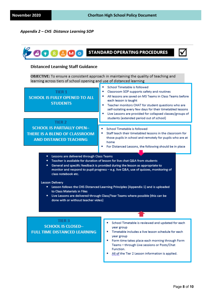#### *Appendix 2 – CHS Distance Learning SOP*